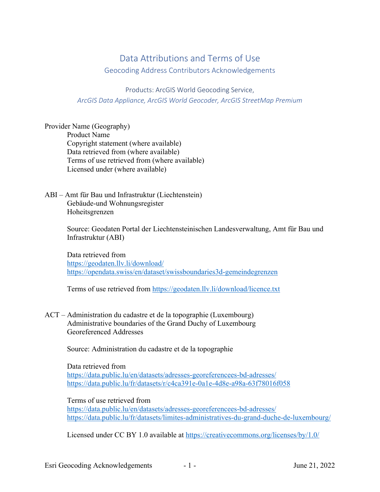# Data Attributions and Terms of Use

Geocoding Address Contributors Acknowledgements

Products: ArcGIS World Geocoding Service, *ArcGIS Data Appliance, ArcGIS World Geocoder, ArcGIS StreetMap Premium*

Provider Name (Geography) Product Name Copyright statement (where available) Data retrieved from (where available) Terms of use retrieved from (where available) Licensed under (where available)

ABI – Amt für Bau und Infrastruktur (Liechtenstein) Gebäude-und Wohnungsregister Hoheitsgrenzen

> Source: Geodaten Portal der Liechtensteinischen Landesverwaltung, Amt für Bau und Infrastruktur (ABI)

Data retrieved from https://geodaten.llv.li/download/ https://opendata.swiss/en/dataset/swissboundaries3d-gemeindegrenzen

Terms of use retrieved from https://geodaten.llv.li/download/licence.txt

ACT – Administration du cadastre et de la topographie (Luxembourg) Administrative boundaries of the Grand Duchy of Luxembourg Georeferenced Addresses

Source: Administration du cadastre et de la topographie

Data retrieved from https://data.public.lu/en/datasets/adresses-georeferencees-bd-adresses/ https://data.public.lu/fr/datasets/r/c4ca391e-0a1e-4d8e-a98a-63f78016f058

Terms of use retrieved from https://data.public.lu/en/datasets/adresses-georeferencees-bd-adresses/ https://data.public.lu/fr/datasets/limites-administratives-du-grand-duche-de-luxembourg/

Licensed under CC BY 1.0 available at https://creativecommons.org/licenses/by/1.0/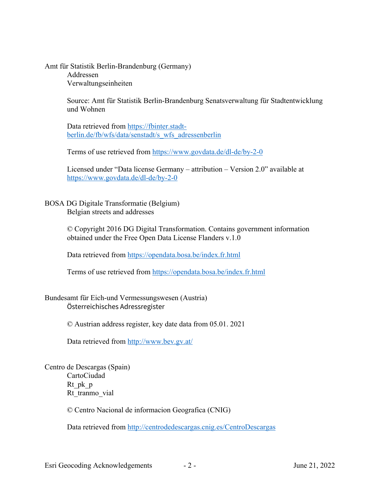Amt für Statistik Berlin-Brandenburg (Germany) Addressen Verwaltungseinheiten

> Source: Amt für Statistik Berlin-Brandenburg Senatsverwaltung für Stadtentwicklung und Wohnen

Data retrieved from https://fbinter.stadtberlin.de/fb/wfs/data/senstadt/s\_wfs\_adressenberlin

Terms of use retrieved from https://www.govdata.de/dl-de/by-2-0

Licensed under "Data license Germany – attribution – Version 2.0" available at https://www.govdata.de/dl-de/by-2-0

BOSA DG Digitale Transformatie (Belgium) Belgian streets and addresses

> © Copyright 2016 DG Digital Transformation. Contains government information obtained under the Free Open Data License Flanders v.1.0

Data retrieved from https://opendata.bosa.be/index.fr.html

Terms of use retrieved from https://opendata.bosa.be/index.fr.html

Bundesamt für Eich-und Vermessungswesen (Austria) Österreichisches Adressregister

© Austrian address register, key date data from 05.01. 2021

Data retrieved from http://www.bev.gv.at/

Centro de Descargas (Spain) CartoCiudad Rt pk p Rt tranmo vial

© Centro Nacional de informacion Geografica (CNIG)

Data retrieved from http://centrodedescargas.cnig.es/CentroDescargas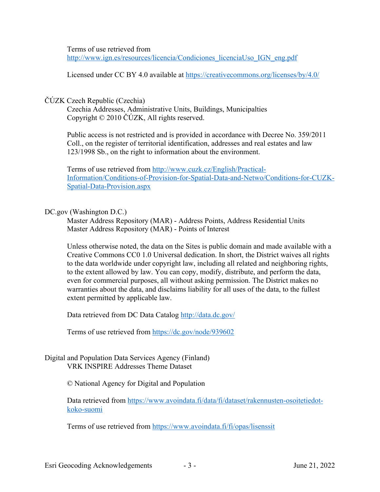Terms of use retrieved from http://www.ign.es/resources/licencia/Condiciones\_licenciaUso\_IGN\_eng.pdf

Licensed under CC BY 4.0 available at https://creativecommons.org/licenses/by/4.0/

## ČÚZK Czech Republic (Czechia)

Czechia Addresses, Administrative Units, Buildings, Municipalties Copyright © 2010 ČÚZK, All rights reserved.

Public access is not restricted and is provided in accordance with Decree No. 359/2011 Coll., on the register of territorial identification, addresses and real estates and law 123/1998 Sb., on the right to information about the environment.

Terms of use retrieved from http://www.cuzk.cz/English/Practical-Information/Conditions-of-Provision-for-Spatial-Data-and-Netwo/Conditions-for-CUZK-Spatial-Data-Provision.aspx

### DC.gov (Washington D.C.)

Master Address Repository (MAR) - Address Points, Address Residential Units Master Address Repository (MAR) - Points of Interest

Unless otherwise noted, the data on the Sites is public domain and made available with a Creative Commons CC0 1.0 Universal dedication. In short, the District waives all rights to the data worldwide under copyright law, including all related and neighboring rights, to the extent allowed by law. You can copy, modify, distribute, and perform the data, even for commercial purposes, all without asking permission. The District makes no warranties about the data, and disclaims liability for all uses of the data, to the fullest extent permitted by applicable law.

Data retrieved from DC Data Catalog http://data.dc.gov/

Terms of use retrieved from https://dc.gov/node/939602

Digital and Population Data Services Agency (Finland) VRK INSPIRE Addresses Theme Dataset

© National Agency for Digital and Population

Data retrieved from https://www.avoindata.fi/data/fi/dataset/rakennusten-osoitetiedotkoko-suomi

Terms of use retrieved from https://www.avoindata.fi/fi/opas/lisenssit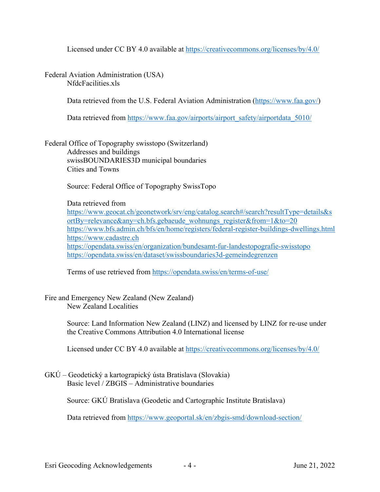Licensed under CC BY 4.0 available at https://creativecommons.org/licenses/by/4.0/

Federal Aviation Administration (USA) NfdcFacilities.xls

Data retrieved from the U.S. Federal Aviation Administration (https://www.faa.gov/)

Data retrieved from https://www.faa.gov/airports/airport\_safety/airportdata\_5010/

Federal Office of Topography swisstopo (Switzerland) Addresses and buildings swissBOUNDARIES3D municipal boundaries Cities and Towns

Source: Federal Office of Topography SwissTopo

Data retrieved from https://www.geocat.ch/geonetwork/srv/eng/catalog.search#/search?resultType=details&s ortBy=relevance&any=ch.bfs.gebaeude\_wohnungs\_register&from=1&to=20 https://www.bfs.admin.ch/bfs/en/home/registers/federal-register-buildings-dwellings.html https://www.cadastre.ch https://opendata.swiss/en/organization/bundesamt-fur-landestopografie-swisstopo https://opendata.swiss/en/dataset/swissboundaries3d-gemeindegrenzen

Terms of use retrieved from https://opendata.swiss/en/terms-of-use/

Fire and Emergency New Zealand (New Zealand) New Zealand Localities

> Source: Land Information New Zealand (LINZ) and licensed by LINZ for re-use under the Creative Commons Attribution 4.0 International license

Licensed under CC BY 4.0 available at https://creativecommons.org/licenses/by/4.0/

GKÚ – Geodetický a kartograpický ústa Bratislava (Slovakia) Basic level / ZBGIS – Administrative boundaries

Source: GKÚ Bratislava (Geodetic and Cartographic Institute Bratislava)

Data retrieved from https://www.geoportal.sk/en/zbgis-smd/download-section/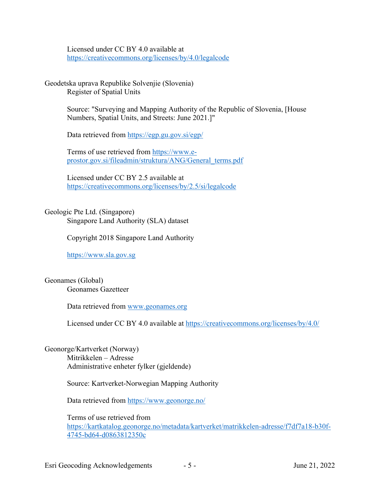Licensed under CC BY 4.0 available at https://creativecommons.org/licenses/by/4.0/legalcode

Geodetska uprava Republike Solvenjie (Slovenia) Register of Spatial Units

> Source: "Surveying and Mapping Authority of the Republic of Slovenia, [House Numbers, Spatial Units, and Streets: June 2021.]"

Data retrieved from https://egp.gu.gov.si/egp/

Terms of use retrieved from https://www.eprostor.gov.si/fileadmin/struktura/ANG/General\_terms.pdf

Licensed under CC BY 2.5 available at https://creativecommons.org/licenses/by/2.5/si/legalcode

# Geologic Pte Ltd. (Singapore)

Singapore Land Authority (SLA) dataset

Copyright 2018 Singapore Land Authority

https://www.sla.gov.sg

Geonames (Global) Geonames Gazetteer

Data retrieved from www.geonames.org

Licensed under CC BY 4.0 available at https://creativecommons.org/licenses/by/4.0/

Geonorge/Kartverket (Norway) Mitrikkelen – Adresse Administrative enheter fylker (gjeldende)

Source: Kartverket-Norwegian Mapping Authority

Data retrieved from https://www.geonorge.no/

Terms of use retrieved from https://kartkatalog.geonorge.no/metadata/kartverket/matrikkelen-adresse/f7df7a18-b30f-4745-bd64-d0863812350c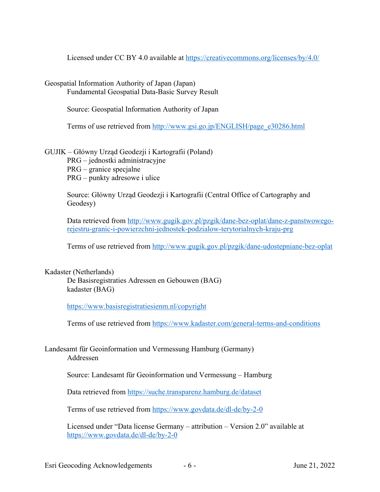Licensed under CC BY 4.0 available at https://creativecommons.org/licenses/by/4.0/

Geospatial Information Authority of Japan (Japan)

Fundamental Geospatial Data-Basic Survey Result

Source: Geospatial Information Authority of Japan

Terms of use retrieved from http://www.gsi.go.jp/ENGLISH/page\_e30286.html

## GUJIK – Główny Urząd Geodezji i Kartografii (Poland)

PRG – jednostki administracyjne

PRG – granice specjalne

PRG – punkty adresowe i ulice

Source: Główny Urząd Geodezji i Kartografii (Central Office of Cartography and Geodesy)

Data retrieved from http://www.gugik.gov.pl/pzgik/dane-bez-oplat/dane-z-panstwowegorejestru-granic-i-powierzchni-jednostek-podzialow-terytorialnych-kraju-prg

Terms of use retrieved from http://www.gugik.gov.pl/pzgik/dane-udostepniane-bez-oplat

Kadaster (Netherlands)

De Basisregistraties Adressen en Gebouwen (BAG) kadaster (BAG)

https://www.basisregistratiesienm.nl/copyright

Terms of use retrieved from https://www.kadaster.com/general-terms-and-conditions

Landesamt für Geoinformation und Vermessung Hamburg (Germany) Addressen

Source: Landesamt für Geoinformation und Vermessung – Hamburg

Data retrieved from https://suche.transparenz.hamburg.de/dataset

Terms of use retrieved from https://www.govdata.de/dl-de/by-2-0

Licensed under "Data license Germany – attribution – Version 2.0" available at https://www.govdata.de/dl-de/by-2-0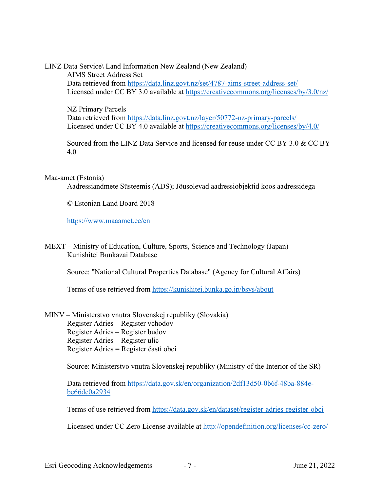LINZ Data Service\ Land Information New Zealand (New Zealand) AIMS Street Address Set Data retrieved from https://data.linz.govt.nz/set/4787-aims-street-address-set/ Licensed under CC BY 3.0 available at https://creativecommons.org/licenses/by/3.0/nz/

NZ Primary Parcels Data retrieved from https://data.linz.govt.nz/layer/50772-nz-primary-parcels/ Licensed under CC BY 4.0 available at https://creativecommons.org/licenses/by/4.0/

Sourced from the LINZ Data Service and licensed for reuse under CC BY 3.0 & CC BY 4.0

#### Maa-amet (Estonia)

Aadressiandmete Süsteemis (ADS); Jõusolevad aadressiobjektid koos aadressidega

© Estonian Land Board 2018

https://www.maaamet.ee/en

MEXT – Ministry of Education, Culture, Sports, Science and Technology (Japan) Kunishitei Bunkazai Database

Source: "National Cultural Properties Database" (Agency for Cultural Affairs)

Terms of use retrieved from https://kunishitei.bunka.go.jp/bsys/about

MINV – Ministerstvo vnutra Slovenskej republiky (Slovakia) Register Adries – Register vchodov Register Adries – Register budov Register Adries – Register ulic Register Adries = Register častí obcí

Source: Ministerstvo vnutra Slovenskej republiky (Ministry of the Interior of the SR)

Data retrieved from https://data.gov.sk/en/organization/2df13d50-0b6f-48ba-884ebe66dc0a2934

Terms of use retrieved from https://data.gov.sk/en/dataset/register-adries-register-obci

Licensed under CC Zero License available at http://opendefinition.org/licenses/cc-zero/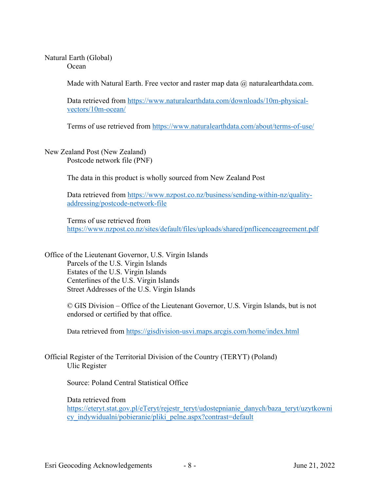#### Natural Earth (Global) **Ocean**

Made with Natural Earth. Free vector and raster map data  $\omega$  naturalearthdata.com.

Data retrieved from https://www.naturalearthdata.com/downloads/10m-physicalvectors/10m-ocean/

Terms of use retrieved from https://www.naturalearthdata.com/about/terms-of-use/

New Zealand Post (New Zealand) Postcode network file (PNF)

The data in this product is wholly sourced from New Zealand Post

Data retrieved from https://www.nzpost.co.nz/business/sending-within-nz/qualityaddressing/postcode-network-file

Terms of use retrieved from https://www.nzpost.co.nz/sites/default/files/uploads/shared/pnflicenceagreement.pdf

Office of the Lieutenant Governor, U.S. Virgin Islands Parcels of the U.S. Virgin Islands Estates of the U.S. Virgin Islands Centerlines of the U.S. Virgin Islands Street Addresses of the U.S. Virgin Islands

> © GIS Division – Office of the Lieutenant Governor, U.S. Virgin Islands, but is not endorsed or certified by that office.

Data retrieved from https://gisdivision-usvi.maps.arcgis.com/home/index.html

Official Register of the Territorial Division of the Country (TERYT) (Poland) Ulic Register

Source: Poland Central Statistical Office

Data retrieved from https://eteryt.stat.gov.pl/eTeryt/rejestr\_teryt/udostepnianie\_danych/baza\_teryt/uzytkowni cy indywidualni/pobieranie/pliki pelne.aspx?contrast=default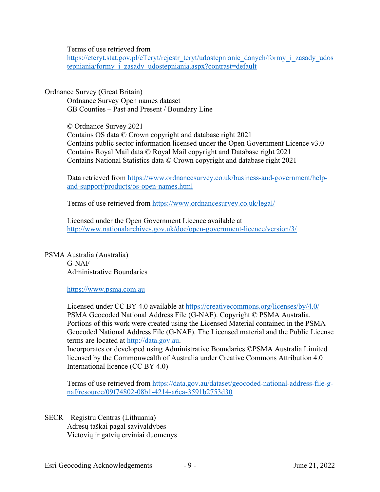Terms of use retrieved from

https://eteryt.stat.gov.pl/eTeryt/rejestr\_teryt/udostepnianie\_danych/formy\_i\_zasady\_udos tepniania/formy\_i\_zasady\_udostepniania.aspx?contrast=default

Ordnance Survey (Great Britain)

Ordnance Survey Open names dataset GB Counties – Past and Present / Boundary Line

© Ordnance Survey 2021 Contains OS data © Crown copyright and database right 2021 Contains public sector information licensed under the Open Government Licence v3.0 Contains Royal Mail data © Royal Mail copyright and Database right 2021 Contains National Statistics data © Crown copyright and database right 2021

Data retrieved from https://www.ordnancesurvey.co.uk/business-and-government/helpand-support/products/os-open-names.html

Terms of use retrieved from https://www.ordnancesurvey.co.uk/legal/

Licensed under the Open Government Licence available at http://www.nationalarchives.gov.uk/doc/open-government-licence/version/3/

PSMA Australia (Australia) G-NAF Administrative Boundaries

https://www.psma.com.au

Licensed under CC BY 4.0 available at https://creativecommons.org/licenses/by/4.0/ PSMA Geocoded National Address File (G-NAF). Copyright © PSMA Australia. Portions of this work were created using the Licensed Material contained in the PSMA Geocoded National Address File (G-NAF). The Licensed material and the Public License terms are located at http://data.gov.au.

Incorporates or developed using Administrative Boundaries ©PSMA Australia Limited licensed by the Commonwealth of Australia under Creative Commons Attribution 4.0 International licence (CC BY 4.0)

Terms of use retrieved from https://data.gov.au/dataset/geocoded-national-address-file-gnaf/resource/09f74802-08b1-4214-a6ea-3591b2753d30

SECR – Registru Centras (Lithuania) Adresų taškai pagal savivaldybes Vietovių ir gatvių erviniai duomenys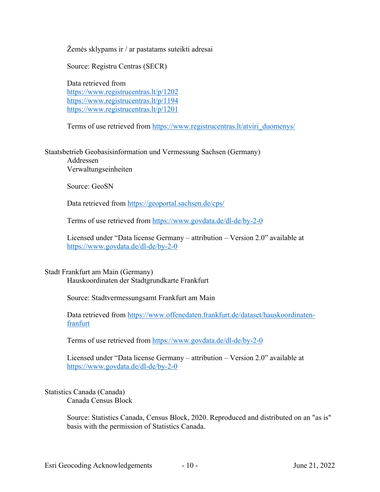Žemės sklypams ir / ar pastatams suteikti adresai

Source: Registru Centras (SECR)

Data retrieved from https://www.registrucentras.lt/p/1202 https://www.registrucentras.lt/p/1194 https://www.registrucentras.lt/p/1201

Terms of use retrieved from https://www.registrucentras.lt/atviri\_duomenys/

Staatsbetrieb Geobasisinformation und Vermessung Sachsen (Germany) Addressen Verwaltungseinheiten

Source: GeoSN

Data retrieved from https://geoportal.sachsen.de/cps/

Terms of use retrieved from https://www.govdata.de/dl-de/by-2-0

Licensed under "Data license Germany – attribution – Version 2.0" available at https://www.govdata.de/dl-de/by-2-0

#### Stadt Frankfurt am Main (Germany)

Hauskoordinaten der Stadtgrundkarte Frankfurt

Source: Stadtvermessungsamt Frankfurt am Main

Data retrieved from https://www.offenedaten.frankfurt.de/dataset/hauskoordinatenfranfurt

Terms of use retrieved from https://www.govdata.de/dl-de/by-2-0

Licensed under "Data license Germany – attribution – Version 2.0" available at https://www.govdata.de/dl-de/by-2-0

Statistics Canada (Canada) Canada Census Block

> Source: Statistics Canada, Census Block, 2020. Reproduced and distributed on an "as is" basis with the permission of Statistics Canada.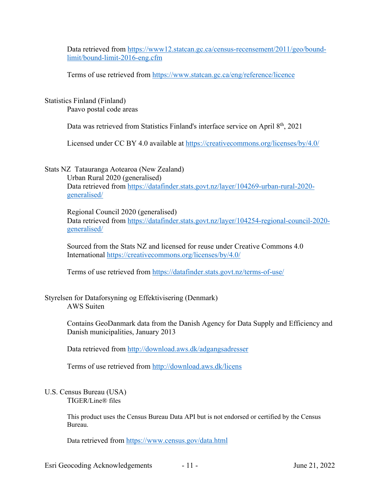Data retrieved from https://www12.statcan.gc.ca/census-recensement/2011/geo/boundlimit/bound-limit-2016-eng.cfm

Terms of use retrieved from https://www.statcan.gc.ca/eng/reference/licence

Statistics Finland (Finland)

Paavo postal code areas

Data was retrieved from Statistics Finland's interface service on April 8<sup>th</sup>, 2021

Licensed under CC BY 4.0 available at https://creativecommons.org/licenses/by/4.0/

### Stats NZ Tatauranga Aotearoa (New Zealand)

Urban Rural 2020 (generalised) Data retrieved from https://datafinder.stats.govt.nz/layer/104269-urban-rural-2020 generalised/

Regional Council 2020 (generalised) Data retrieved from https://datafinder.stats.govt.nz/layer/104254-regional-council-2020 generalised/

Sourced from the Stats NZ and licensed for reuse under Creative Commons 4.0 International https://creativecommons.org/licenses/by/4.0/

Terms of use retrieved from https://datafinder.stats.govt.nz/terms-of-use/

Styrelsen for Dataforsyning og Effektivisering (Denmark) AWS Suiten

> Contains GeoDanmark data from the Danish Agency for Data Supply and Efficiency and Danish municipalities, January 2013

Data retrieved from http://download.aws.dk/adgangsadresser

Terms of use retrieved from http://download.aws.dk/licens

#### U.S. Census Bureau (USA) TIGER/Line® files

This product uses the Census Bureau Data API but is not endorsed or certified by the Census Bureau.

Data retrieved from https://www.census.gov/data.html